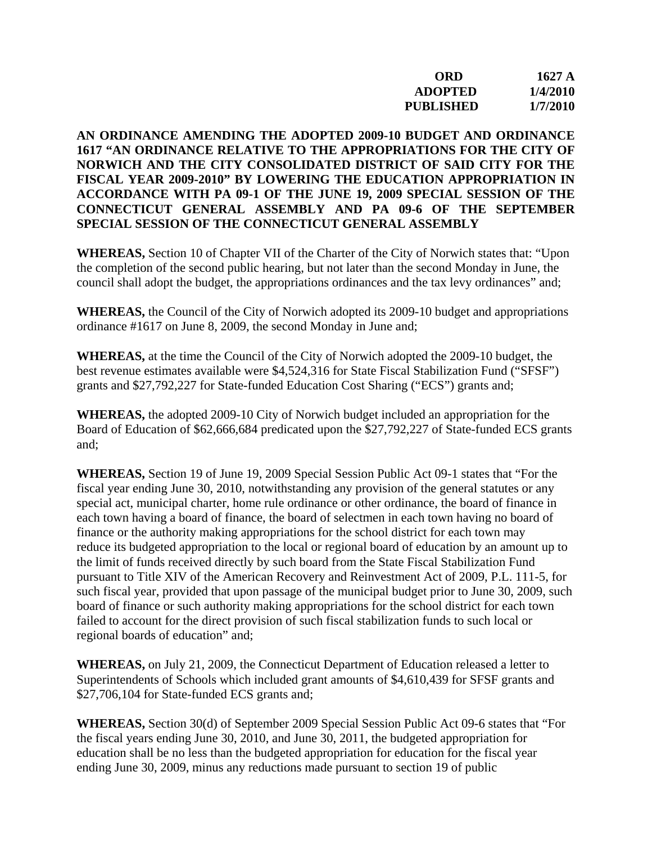| ORD              | 1627 $\AA$ |
|------------------|------------|
| <b>ADOPTED</b>   | 1/4/2010   |
| <b>PUBLISHED</b> | 1/7/2010   |

## **AN ORDINANCE AMENDING THE ADOPTED 2009-10 BUDGET AND ORDINANCE 1617 "AN ORDINANCE RELATIVE TO THE APPROPRIATIONS FOR THE CITY OF NORWICH AND THE CITY CONSOLIDATED DISTRICT OF SAID CITY FOR THE FISCAL YEAR 2009-2010" BY LOWERING THE EDUCATION APPROPRIATION IN ACCORDANCE WITH PA 09-1 OF THE JUNE 19, 2009 SPECIAL SESSION OF THE CONNECTICUT GENERAL ASSEMBLY AND PA 09-6 OF THE SEPTEMBER SPECIAL SESSION OF THE CONNECTICUT GENERAL ASSEMBLY**

**WHEREAS,** Section 10 of Chapter VII of the Charter of the City of Norwich states that: "Upon the completion of the second public hearing, but not later than the second Monday in June, the council shall adopt the budget, the appropriations ordinances and the tax levy ordinances" and;

**WHEREAS,** the Council of the City of Norwich adopted its 2009-10 budget and appropriations ordinance #1617 on June 8, 2009, the second Monday in June and;

**WHEREAS,** at the time the Council of the City of Norwich adopted the 2009-10 budget, the best revenue estimates available were \$4,524,316 for State Fiscal Stabilization Fund ("SFSF") grants and \$27,792,227 for State-funded Education Cost Sharing ("ECS") grants and;

**WHEREAS,** the adopted 2009-10 City of Norwich budget included an appropriation for the Board of Education of \$62,666,684 predicated upon the \$27,792,227 of State-funded ECS grants and;

**WHEREAS,** Section 19 of June 19, 2009 Special Session Public Act 09-1 states that "For the fiscal year ending June 30, 2010, notwithstanding any provision of the general statutes or any special act, municipal charter, home rule ordinance or other ordinance, the board of finance in each town having a board of finance, the board of selectmen in each town having no board of finance or the authority making appropriations for the school district for each town may reduce its budgeted appropriation to the local or regional board of education by an amount up to the limit of funds received directly by such board from the State Fiscal Stabilization Fund pursuant to Title XIV of the American Recovery and Reinvestment Act of 2009, P.L. 111-5, for such fiscal year, provided that upon passage of the municipal budget prior to June 30, 2009, such board of finance or such authority making appropriations for the school district for each town failed to account for the direct provision of such fiscal stabilization funds to such local or regional boards of education" and;

**WHEREAS,** on July 21, 2009, the Connecticut Department of Education released a letter to Superintendents of Schools which included grant amounts of \$4,610,439 for SFSF grants and \$27,706,104 for State-funded ECS grants and;

**WHEREAS,** Section 30(d) of September 2009 Special Session Public Act 09-6 states that "For the fiscal years ending June 30, 2010, and June 30, 2011, the budgeted appropriation for education shall be no less than the budgeted appropriation for education for the fiscal year ending June 30, 2009, minus any reductions made pursuant to section 19 of public